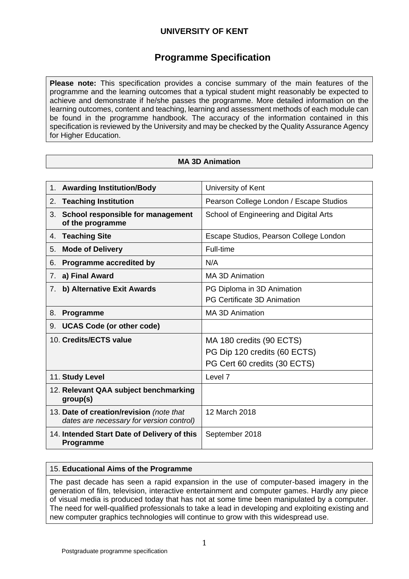# **Programme Specification**

**Please note:** This specification provides a concise summary of the main features of the programme and the learning outcomes that a typical student might reasonably be expected to achieve and demonstrate if he/she passes the programme. More detailed information on the learning outcomes, content and teaching, learning and assessment methods of each module can be found in the programme handbook. The accuracy of the information contained in this specification is reviewed by the University and may be checked by the Quality Assurance Agency for Higher Education.

## **MA 3D Animation**

|    | 1. Awarding Institution/Body                                                         | University of Kent                                                                       |  |  |
|----|--------------------------------------------------------------------------------------|------------------------------------------------------------------------------------------|--|--|
| 2. | <b>Teaching Institution</b>                                                          | Pearson College London / Escape Studios                                                  |  |  |
| 3. | School responsible for management<br>of the programme                                | School of Engineering and Digital Arts                                                   |  |  |
|    | 4. Teaching Site                                                                     | Escape Studios, Pearson College London                                                   |  |  |
| 5. | <b>Mode of Delivery</b>                                                              | Full-time                                                                                |  |  |
| 6. | Programme accredited by                                                              | N/A                                                                                      |  |  |
| 7. | a) Final Award                                                                       | MA 3D Animation                                                                          |  |  |
| 7. | b) Alternative Exit Awards                                                           | PG Diploma in 3D Animation<br>PG Certificate 3D Animation                                |  |  |
| 8. | Programme                                                                            | <b>MA 3D Animation</b>                                                                   |  |  |
| 9. | <b>UCAS Code (or other code)</b>                                                     |                                                                                          |  |  |
|    | 10. Credits/ECTS value                                                               | MA 180 credits (90 ECTS)<br>PG Dip 120 credits (60 ECTS)<br>PG Cert 60 credits (30 ECTS) |  |  |
|    | 11. Study Level                                                                      | Level 7                                                                                  |  |  |
|    | 12. Relevant QAA subject benchmarking<br>group(s)                                    |                                                                                          |  |  |
|    | 13. Date of creation/revision (note that<br>dates are necessary for version control) | 12 March 2018                                                                            |  |  |
|    | 14. Intended Start Date of Delivery of this<br>Programme                             | September 2018                                                                           |  |  |

## 15. **Educational Aims of the Programme**

The past decade has seen a rapid expansion in the use of computer-based imagery in the generation of film, television, interactive entertainment and computer games. Hardly any piece of visual media is produced today that has not at some time been manipulated by a computer. The need for well-qualified professionals to take a lead in developing and exploiting existing and new computer graphics technologies will continue to grow with this widespread use.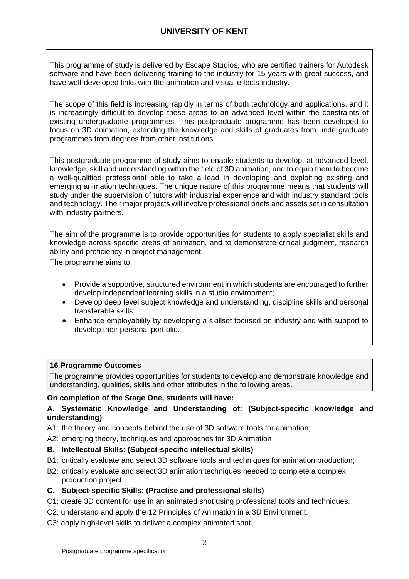This programme of study is delivered by Escape Studios, who are certified trainers for Autodesk software and have been delivering training to the industry for 15 years with great success, and have well-developed links with the animation and visual effects industry.

The scope of this field is increasing rapidly in terms of both technology and applications, and it is increasingly difficult to develop these areas to an advanced level within the constraints of existing undergraduate programmes. This postgraduate programme has been developed to focus on 3D animation, extending the knowledge and skills of graduates from undergraduate programmes from degrees from other institutions.

This postgraduate programme of study aims to enable students to develop, at advanced level, knowledge, skill and understanding within the field of 3D animation, and to equip them to become a well-qualified professional able to take a lead in developing and exploiting existing and emerging animation techniques. The unique nature of this programme means that students will study under the supervision of tutors with industrial experience and with industry standard tools and technology. Their major projects will involve professional briefs and assets set in consultation with industry partners.

The aim of the programme is to provide opportunities for students to apply specialist skills and knowledge across specific areas of animation, and to demonstrate critical judgment, research ability and proficiency in project management.

The programme aims to:

- Provide a supportive, structured environment in which students are encouraged to further develop independent learning skills in a studio environment;
- Develop deep level subject knowledge and understanding, discipline skills and personal transferable skills;
- Enhance employability by developing a skillset focused on industry and with support to develop their personal portfolio.

## **16 Programme Outcomes**

The programme provides opportunities for students to develop and demonstrate knowledge and understanding, qualities, skills and other attributes in the following areas.

#### **On completion of the Stage One, students will have:**

## **A. Systematic Knowledge and Understanding of: (Subject-specific knowledge and understanding)**

A1: the theory and concepts behind the use of 3D software tools for animation;

A2: emerging theory, techniques and approaches for 3D Animation

## **B. Intellectual Skills: (Subject-specific intellectual skills)**

- B1: critically evaluate and select 3D software tools and techniques for animation production;
- B2: critically evaluate and select 3D animation techniques needed to complete a complex production project.

## **C. Subject-specific Skills: (Practise and professional skills)**

- C1: create 3D content for use in an animated shot using professional tools and techniques.
- C2: understand and apply the 12 Principles of Animation in a 3D Environment.
- C3: apply high-level skills to deliver a complex animated shot.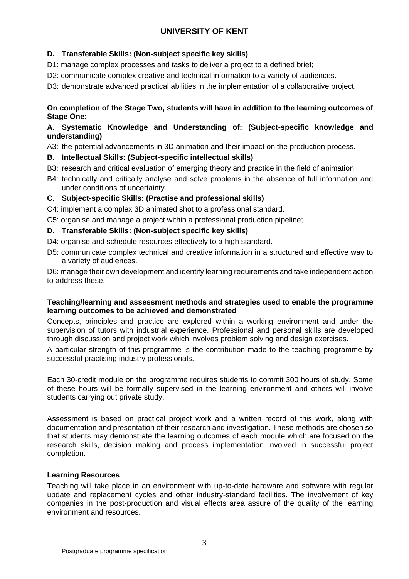## **D. Transferable Skills: (Non-subject specific key skills)**

- D1: manage complex processes and tasks to deliver a project to a defined brief;
- D2: communicate complex creative and technical information to a variety of audiences.

D3: demonstrate advanced practical abilities in the implementation of a collaborative project.

## **On completion of the Stage Two, students will have in addition to the learning outcomes of Stage One:**

## **A. Systematic Knowledge and Understanding of: (Subject-specific knowledge and understanding)**

A3: the potential advancements in 3D animation and their impact on the production process.

## **B. Intellectual Skills: (Subject-specific intellectual skills)**

- B3: research and critical evaluation of emerging theory and practice in the field of animation
- B4: technically and critically analyse and solve problems in the absence of full information and under conditions of uncertainty.

## **C. Subject-specific Skills: (Practise and professional skills)**

C4: implement a complex 3D animated shot to a professional standard.

C5: organise and manage a project within a professional production pipeline;

## **D. Transferable Skills: (Non-subject specific key skills)**

- D4: organise and schedule resources effectively to a high standard.
- D5: communicate complex technical and creative information in a structured and effective way to a variety of audiences.

D6: manage their own development and identify learning requirements and take independent action to address these.

#### **Teaching/learning and assessment methods and strategies used to enable the programme learning outcomes to be achieved and demonstrated**

Concepts, principles and practice are explored within a working environment and under the supervision of tutors with industrial experience. Professional and personal skills are developed through discussion and project work which involves problem solving and design exercises.

A particular strength of this programme is the contribution made to the teaching programme by successful practising industry professionals.

Each 30-credit module on the programme requires students to commit 300 hours of study. Some of these hours will be formally supervised in the learning environment and others will involve students carrying out private study.

Assessment is based on practical project work and a written record of this work, along with documentation and presentation of their research and investigation. These methods are chosen so that students may demonstrate the learning outcomes of each module which are focused on the research skills, decision making and process implementation involved in successful project completion.

#### **Learning Resources**

Teaching will take place in an environment with up-to-date hardware and software with regular update and replacement cycles and other industry-standard facilities. The involvement of key companies in the post-production and visual effects area assure of the quality of the learning environment and resources.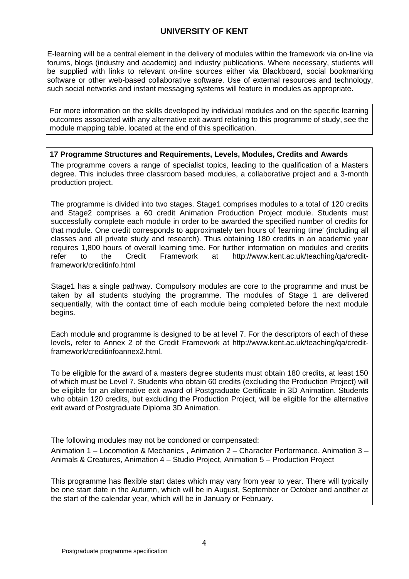E-learning will be a central element in the delivery of modules within the framework via on-line via forums, blogs (industry and academic) and industry publications. Where necessary, students will be supplied with links to relevant on-line sources either via Blackboard, social bookmarking software or other web-based collaborative software. Use of external resources and technology, such social networks and instant messaging systems will feature in modules as appropriate.

For more information on the skills developed by individual modules and on the specific learning outcomes associated with any alternative exit award relating to this programme of study, see the module mapping table, located at the end of this specification.

**17 Programme Structures and Requirements, Levels, Modules, Credits and Awards** The programme covers a range of specialist topics, leading to the qualification of a Masters degree. This includes three classroom based modules, a collaborative project and a 3-month production project.

The programme is divided into two stages. Stage1 comprises modules to a total of 120 credits and Stage2 comprises a 60 credit Animation Production Project module. Students must successfully complete each module in order to be awarded the specified number of credits for that module. One credit corresponds to approximately ten hours of 'learning time' (including all classes and all private study and research). Thus obtaining 180 credits in an academic year requires 1,800 hours of overall learning time. For further information on modules and credits<br>refer to the Credit Framework at http://www.kent.ac.uk/teaching/ga/creditrefer to the Credit Framework at http://www.kent.ac.uk/teaching/qa/creditframework/creditinfo.html

Stage1 has a single pathway. Compulsory modules are core to the programme and must be taken by all students studying the programme. The modules of Stage 1 are delivered sequentially, with the contact time of each module being completed before the next module begins.

Each module and programme is designed to be at level 7. For the descriptors of each of these levels, refer to Annex 2 of the Credit Framework at http://www.kent.ac.uk/teaching/qa/creditframework/creditinfoannex2.html.

To be eligible for the award of a masters degree students must obtain 180 credits, at least 150 of which must be Level 7. Students who obtain 60 credits (excluding the Production Project) will be eligible for an alternative exit award of Postgraduate Certificate in 3D Animation. Students who obtain 120 credits, but excluding the Production Project, will be eligible for the alternative exit award of Postgraduate Diploma 3D Animation.

The following modules may not be condoned or compensated:

Animation 1 – Locomotion & Mechanics , Animation 2 – Character Performance, Animation 3 – Animals & Creatures, Animation 4 – Studio Project, Animation 5 – Production Project

This programme has flexible start dates which may vary from year to year. There will typically be one start date in the Autumn, which will be in August, September or October and another at the start of the calendar year, which will be in January or February.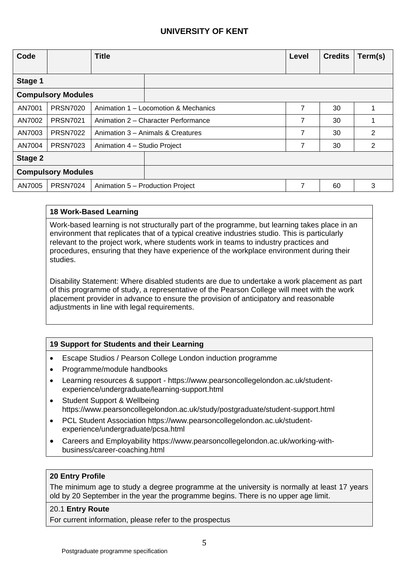| Code                      |                 | <b>Title</b>                         |                                   | Level | <b>Credits</b> | Term(s)        |
|---------------------------|-----------------|--------------------------------------|-----------------------------------|-------|----------------|----------------|
|                           |                 |                                      |                                   |       |                |                |
| Stage 1                   |                 |                                      |                                   |       |                |                |
| <b>Compulsory Modules</b> |                 |                                      |                                   |       |                |                |
| AN7001                    | <b>PRSN7020</b> | Animation 1 – Locomotion & Mechanics |                                   | 7     | 30             |                |
| AN7002                    | <b>PRSN7021</b> | Animation 2 – Character Performance  | 7                                 | 30    |                |                |
| AN7003                    | <b>PRSN7022</b> |                                      | Animation 3 – Animals & Creatures | 7     | 30             | $\overline{2}$ |
| AN7004                    | <b>PRSN7023</b> | Animation 4 - Studio Project         |                                   | 7     | 30             | 2              |
| Stage 2                   |                 |                                      |                                   |       |                |                |
| <b>Compulsory Modules</b> |                 |                                      |                                   |       |                |                |
| <b>PRSN7024</b><br>AN7005 |                 |                                      | Animation 5 - Production Project  | 7     | 60             | 3              |

## **18 Work-Based Learning**

Work-based learning is not structurally part of the programme, but learning takes place in an environment that replicates that of a typical creative industries studio. This is particularly relevant to the project work, where students work in teams to industry practices and procedures, ensuring that they have experience of the workplace environment during their studies.

Disability Statement: Where disabled students are due to undertake a work placement as part of this programme of study, a representative of the Pearson College will meet with the work placement provider in advance to ensure the provision of anticipatory and reasonable adjustments in line with legal requirements.

## **19 Support for Students and their Learning**

- Escape Studios / Pearson College London induction programme
- Programme/module handbooks
- Learning resources & support https://www.pearsoncollegelondon.ac.uk/studentexperience/undergraduate/learning-support.html
- Student Support & Wellbeing https://www.pearsoncollegelondon.ac.uk/study/postgraduate/student-support.html
- PCL Student Association https://www.pearsoncollegelondon.ac.uk/studentexperience/undergraduate/pcsa.html
- Careers and Employability https://www.pearsoncollegelondon.ac.uk/working-withbusiness/career-coaching.html

#### **20 Entry Profile**

The minimum age to study a degree programme at the university is normally at least 17 years old by 20 September in the year the programme begins. There is no upper age limit.

#### 20.1 **Entry Route**

For current information, please refer to the prospectus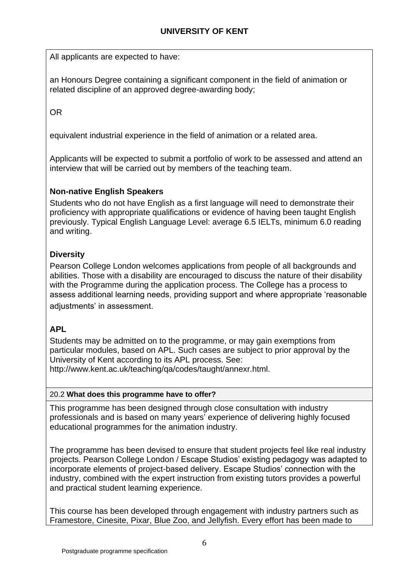All applicants are expected to have:

an Honours Degree containing a significant component in the field of animation or related discipline of an approved degree-awarding body;

OR

equivalent industrial experience in the field of animation or a related area.

Applicants will be expected to submit a portfolio of work to be assessed and attend an interview that will be carried out by members of the teaching team.

# **Non-native English Speakers**

Students who do not have English as a first language will need to demonstrate their proficiency with appropriate qualifications or evidence of having been taught English previously. Typical English Language Level: average 6.5 IELTs, minimum 6.0 reading and writing.

# **Diversity**

Pearson College London welcomes applications from people of all backgrounds and abilities. Those with a disability are encouraged to discuss the nature of their disability with the Programme during the application process. The College has a process to assess additional learning needs, providing support and where appropriate 'reasonable adjustments' in assessment.

# **APL**

Students may be admitted on to the programme, or may gain exemptions from particular modules, based on APL. Such cases are subject to prior approval by the University of Kent according to its APL process. See:

http://www.kent.ac.uk/teaching/qa/codes/taught/annexr.html.

## 20.2 **What does this programme have to offer?**

This programme has been designed through close consultation with industry professionals and is based on many years' experience of delivering highly focused educational programmes for the animation industry.

The programme has been devised to ensure that student projects feel like real industry projects. Pearson College London / Escape Studios' existing pedagogy was adapted to incorporate elements of project-based delivery. Escape Studios' connection with the industry, combined with the expert instruction from existing tutors provides a powerful and practical student learning experience.

This course has been developed through engagement with industry partners such as Framestore, Cinesite, Pixar, Blue Zoo, and Jellyfish. Every effort has been made to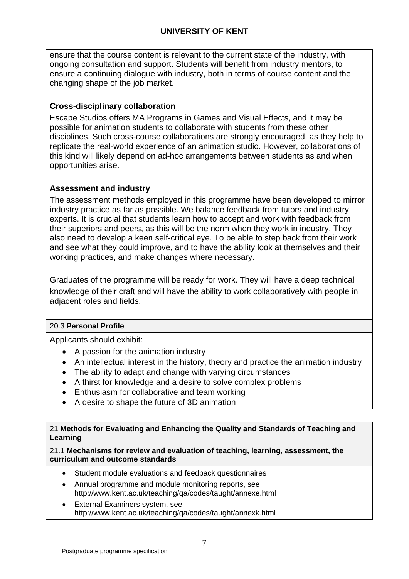ensure that the course content is relevant to the current state of the industry, with ongoing consultation and support. Students will benefit from industry mentors, to ensure a continuing dialogue with industry, both in terms of course content and the changing shape of the job market.

# **Cross-disciplinary collaboration**

Escape Studios offers MA Programs in Games and Visual Effects, and it may be possible for animation students to collaborate with students from these other disciplines. Such cross-course collaborations are strongly encouraged, as they help to replicate the real-world experience of an animation studio. However, collaborations of this kind will likely depend on ad-hoc arrangements between students as and when opportunities arise.

# **Assessment and industry**

The assessment methods employed in this programme have been developed to mirror industry practice as far as possible. We balance feedback from tutors and industry experts. It is crucial that students learn how to accept and work with feedback from their superiors and peers, as this will be the norm when they work in industry. They also need to develop a keen self-critical eye. To be able to step back from their work and see what they could improve, and to have the ability look at themselves and their working practices, and make changes where necessary.

Graduates of the programme will be ready for work. They will have a deep technical knowledge of their craft and will have the ability to work collaboratively with people in adjacent roles and fields.

# 20.3 **Personal Profile**

Applicants should exhibit:

- A passion for the animation industry
- An intellectual interest in the history, theory and practice the animation industry
- The ability to adapt and change with varying circumstances
- A thirst for knowledge and a desire to solve complex problems
- Enthusiasm for collaborative and team working
- A desire to shape the future of 3D animation

21 **Methods for Evaluating and Enhancing the Quality and Standards of Teaching and Learning**

## 21.1 **Mechanisms for review and evaluation of teaching, learning, assessment, the curriculum and outcome standards**

- Student module evaluations and feedback questionnaires
- Annual programme and module monitoring reports, see http://www.kent.ac.uk/teaching/qa/codes/taught/annexe.html
- External Examiners system, see http://www.kent.ac.uk/teaching/qa/codes/taught/annexk.html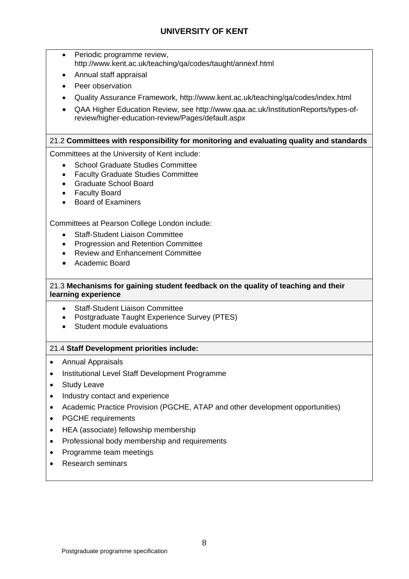- Periodic programme review, http://www.kent.ac.uk/teaching/qa/codes/taught/annexf.html
- Annual staff appraisal
- Peer observation
- Quality Assurance Framework, http://www.kent.ac.uk/teaching/qa/codes/index.html
- QAA Higher Education Review, see http://www.qaa.ac.uk/InstitutionReports/types-ofreview/higher-education-review/Pages/default.aspx

## 21.2 **Committees with responsibility for monitoring and evaluating quality and standards**

Committees at the University of Kent include:

- School Graduate Studies Committee
- Faculty Graduate Studies Committee
- Graduate School Board
- Faculty Board
- Board of Examiners

Committees at Pearson College London include:

- Staff-Student Liaison Committee
- Progression and Retention Committee
- Review and Enhancement Committee
- Academic Board

## 21.3 **Mechanisms for gaining student feedback on the quality of teaching and their learning experience**

- Staff-Student Liaison Committee
- Postgraduate Taught Experience Survey (PTES)
- Student module evaluations

#### 21.4 **Staff Development priorities include:**

- Annual Appraisals
- Institutional Level Staff Development Programme
- Study Leave
- Industry contact and experience
- Academic Practice Provision (PGCHE, ATAP and other development opportunities)
- PGCHE requirements
- HEA (associate) fellowship membership
- Professional body membership and requirements
- Programme team meetings
- Research seminars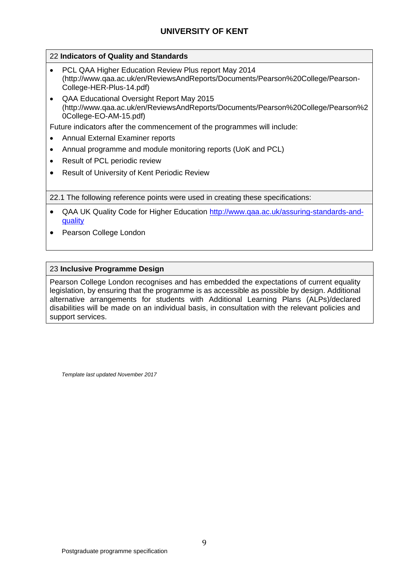## 22 **Indicators of Quality and Standards**

- PCL QAA Higher Education Review Plus report May 2014 (http://www.qaa.ac.uk/en/ReviewsAndReports/Documents/Pearson%20College/Pearson-College-HER-Plus-14.pdf)
- QAA Educational Oversight Report May 2015 (http://www.qaa.ac.uk/en/ReviewsAndReports/Documents/Pearson%20College/Pearson%2 0College-EO-AM-15.pdf)

Future indicators after the commencement of the programmes will include:

- Annual External Examiner reports
- Annual programme and module monitoring reports (UoK and PCL)
- Result of PCL periodic review
- Result of University of Kent Periodic Review

22.1 The following reference points were used in creating these specifications:

- QAA UK Quality Code for Higher Education [http://www.qaa.ac.uk/assuring-standards-and](http://www.qaa.ac.uk/assuring-standards-and-quality)[quality](http://www.qaa.ac.uk/assuring-standards-and-quality)
- Pearson College London

#### 23 **Inclusive Programme Design**

Pearson College London recognises and has embedded the expectations of current equality legislation, by ensuring that the programme is as accessible as possible by design. Additional alternative arrangements for students with Additional Learning Plans (ALPs)/declared disabilities will be made on an individual basis, in consultation with the relevant policies and support services.

*Template last updated November 2017*